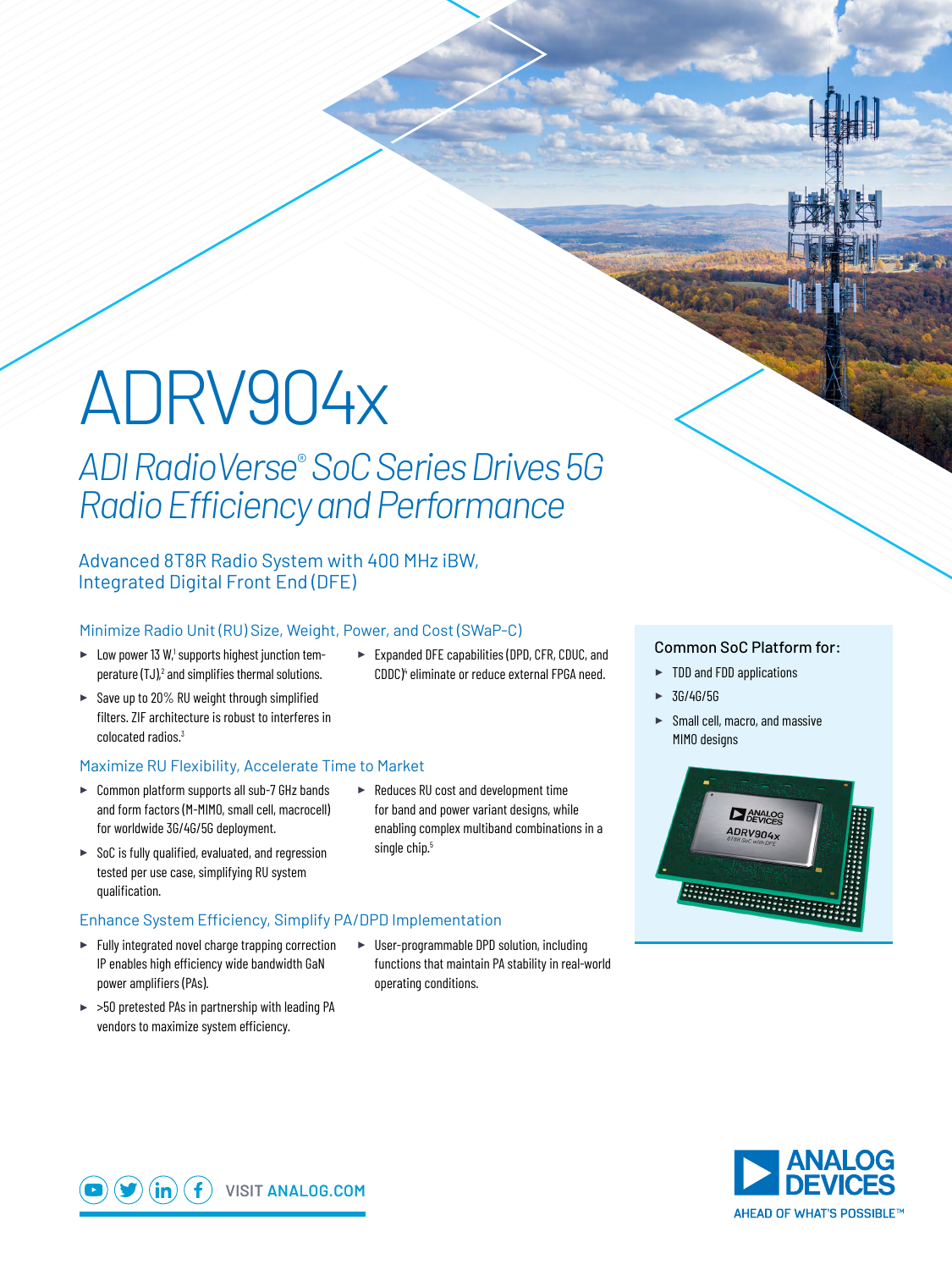# ADRV904x

# *ADI RadioVerse*®  *SoC Series Drives 5G Radio Efficiency and Performance*

#### Advanced 8T8R Radio System with 400 MHz iBW, Integrated Digital Front End (DFE)

#### Minimize Radio Unit (RU) Size, Weight, Power, and Cost (SWaP-C)

- $\blacktriangleright$  Low power 13 W,<sup>1</sup> supports highest junction temperature  $(TJ)<sub>n</sub><sup>2</sup>$  and simplifies thermal solutions.
- ► Save up to 20% RU weight through simplified filters. ZIF architecture is robust to interferes in colocated radios.<sup>3</sup>

#### Maximize RU Flexibility, Accelerate Time to Market

- ► Common platform supports all sub-7 GHz bands and form factors (M-MIMO, small cell, macrocell) for worldwide 3G/4G/5G deployment.
- ► SoC is fully qualified, evaluated, and regression tested per use case, simplifying RU system qualification.

#### Enhance System Efficiency, Simplify PA/DPD Implementation

- ► Fully integrated novel charge trapping correction IP enables high efficiency wide bandwidth GaN power amplifiers (PAs).
- ► >50 pretested PAs in partnership with leading PA vendors to maximize system efficiency.

► Reduces RU cost and development time for band and power variant designs, while enabling complex multiband combinations in a single chip.<sup>5</sup>

► Expanded DFE capabilities (DPD, CFR, CDUC, and CDDC)<sup>4</sup> eliminate or reduce external FPGA need.

## ► User-programmable DPD solution, including functions that maintain PA stability in real-world

operating conditions.

#### Common SoC Platform for:

- ► TDD and FDD applications
- ► 3G/4G/5G
- ► Small cell, macro, and massive MIMO designs